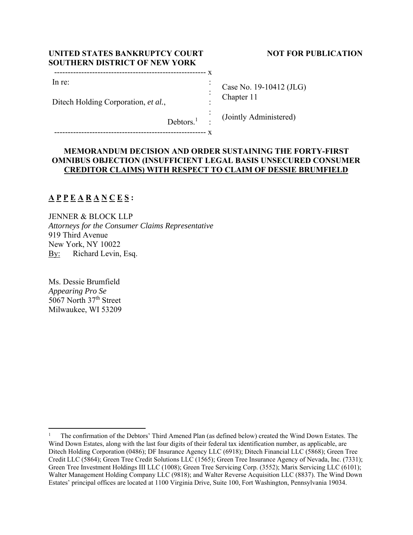| UNITED STATES BANKRUPTCY COURT<br><b>SOUTHERN DISTRICT OF NEW YORK</b> |  |                           |
|------------------------------------------------------------------------|--|---------------------------|
|                                                                        |  |                           |
| In re:                                                                 |  |                           |
| Ditech Holding Corporation, et al.,                                    |  | Case No. 19<br>Chapter 11 |
|                                                                        |  | $\cdot$ (Linder A.1.      |

## **NOT FOR PUBLICATION**

 $-10412$  (JLG)

(Jointly Administered)

## **MEMORANDUM DECISION AND ORDER SUSTAINING THE FORTY-FIRST OMNIBUS OBJECTION (INSUFFICIENT LEGAL BASIS UNSECURED CONSUMER CREDITOR CLAIMS) WITH RESPECT TO CLAIM OF DESSIE BRUMFIELD**

:

# **A P P E A R A N C E S :**

JENNER & BLOCK LLP *Attorneys for the Consumer Claims Representative*  919 Third Avenue New York, NY 10022 By: Richard Levin, Esq.

Debtors.<sup>1</sup>

-------------------------------------------------------- x

Ms. Dessie Brumfield *Appearing Pro Se*  5067 North 37<sup>th</sup> Street Milwaukee, WI 53209

<sup>1</sup> The confirmation of the Debtors' Third Amened Plan (as defined below) created the Wind Down Estates. The Wind Down Estates, along with the last four digits of their federal tax identification number, as applicable, are Ditech Holding Corporation (0486); DF Insurance Agency LLC (6918); Ditech Financial LLC (5868); Green Tree Credit LLC (5864); Green Tree Credit Solutions LLC (1565); Green Tree Insurance Agency of Nevada, Inc. (7331); Green Tree Investment Holdings III LLC (1008); Green Tree Servicing Corp. (3552); Marix Servicing LLC (6101); Walter Management Holding Company LLC (9818); and Walter Reverse Acquisition LLC (8837). The Wind Down Estates' principal offices are located at 1100 Virginia Drive, Suite 100, Fort Washington, Pennsylvania 19034.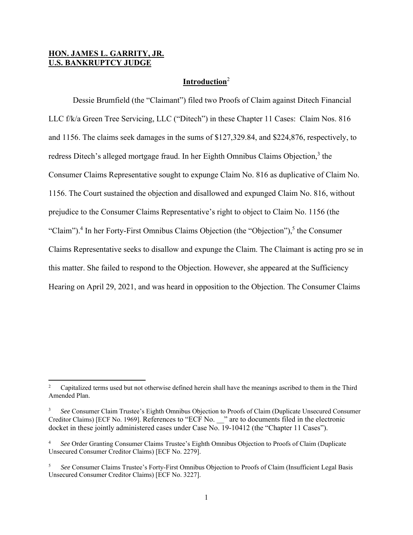## **HON. JAMES L. GARRITY, JR. U.S. BANKRUPTCY JUDGE**

### **Introduction**<sup>2</sup>

 Dessie Brumfield (the "Claimant") filed two Proofs of Claim against Ditech Financial LLC f/k/a Green Tree Servicing, LLC ("Ditech") in these Chapter 11 Cases: Claim Nos. 816 and 1156. The claims seek damages in the sums of \$127,329.84, and \$224,876, respectively, to redress Ditech's alleged mortgage fraud. In her Eighth Omnibus Claims Objection,<sup>3</sup> the Consumer Claims Representative sought to expunge Claim No. 816 as duplicative of Claim No. 1156. The Court sustained the objection and disallowed and expunged Claim No. 816, without prejudice to the Consumer Claims Representative's right to object to Claim No. 1156 (the "Claim").<sup>4</sup> In her Forty-First Omnibus Claims Objection (the "Objection"),<sup>5</sup> the Consumer Claims Representative seeks to disallow and expunge the Claim. The Claimant is acting pro se in this matter. She failed to respond to the Objection. However, she appeared at the Sufficiency Hearing on April 29, 2021, and was heard in opposition to the Objection. The Consumer Claims

<sup>2</sup> Capitalized terms used but not otherwise defined herein shall have the meanings ascribed to them in the Third Amended Plan.

<sup>3</sup> *See* Consumer Claim Trustee's Eighth Omnibus Objection to Proofs of Claim (Duplicate Unsecured Consumer Creditor Claims) [ECF No. 1969]. References to "ECF No. \_\_" are to documents filed in the electronic docket in these jointly administered cases under Case No. 19-10412 (the "Chapter 11 Cases").

<sup>4</sup> *See* Order Granting Consumer Claims Trustee's Eighth Omnibus Objection to Proofs of Claim (Duplicate Unsecured Consumer Creditor Claims) [ECF No. 2279].

<sup>5</sup> *See* Consumer Claims Trustee's Forty-First Omnibus Objection to Proofs of Claim (Insufficient Legal Basis Unsecured Consumer Creditor Claims) [ECF No. 3227].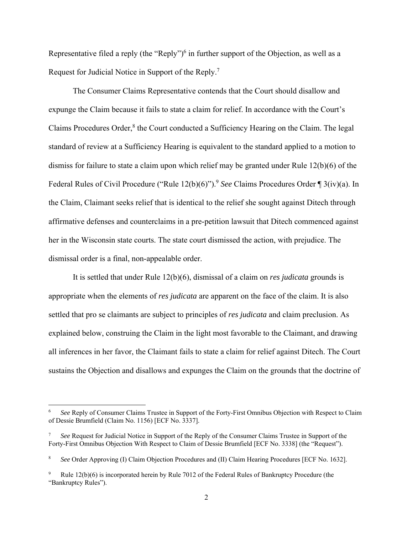Representative filed a reply (the "Reply")<sup>6</sup> in further support of the Objection, as well as a Request for Judicial Notice in Support of the Reply.<sup>7</sup>

 The Consumer Claims Representative contends that the Court should disallow and expunge the Claim because it fails to state a claim for relief. In accordance with the Court's Claims Procedures Order,<sup>8</sup> the Court conducted a Sufficiency Hearing on the Claim. The legal standard of review at a Sufficiency Hearing is equivalent to the standard applied to a motion to dismiss for failure to state a claim upon which relief may be granted under Rule 12(b)(6) of the Federal Rules of Civil Procedure ("Rule 12(b)(6)").9 *See* Claims Procedures Order ¶ 3(iv)(a). In the Claim, Claimant seeks relief that is identical to the relief she sought against Ditech through affirmative defenses and counterclaims in a pre-petition lawsuit that Ditech commenced against her in the Wisconsin state courts. The state court dismissed the action, with prejudice. The dismissal order is a final, non-appealable order.

 It is settled that under Rule 12(b)(6), dismissal of a claim on *res judicata* grounds is appropriate when the elements of *res judicata* are apparent on the face of the claim. It is also settled that pro se claimants are subject to principles of *res judicata* and claim preclusion. As explained below, construing the Claim in the light most favorable to the Claimant, and drawing all inferences in her favor, the Claimant fails to state a claim for relief against Ditech. The Court sustains the Objection and disallows and expunges the Claim on the grounds that the doctrine of

<sup>6</sup> *See* Reply of Consumer Claims Trustee in Support of the Forty-First Omnibus Objection with Respect to Claim of Dessie Brumfield (Claim No. 1156) [ECF No. 3337].

<sup>7</sup> *See* Request for Judicial Notice in Support of the Reply of the Consumer Claims Trustee in Support of the Forty-First Omnibus Objection With Respect to Claim of Dessie Brumfield [ECF No. 3338] (the "Request").

<sup>8</sup> *See* Order Approving (I) Claim Objection Procedures and (II) Claim Hearing Procedures [ECF No. 1632].

<sup>9</sup> Rule 12(b)(6) is incorporated herein by Rule 7012 of the Federal Rules of Bankruptcy Procedure (the "Bankruptcy Rules").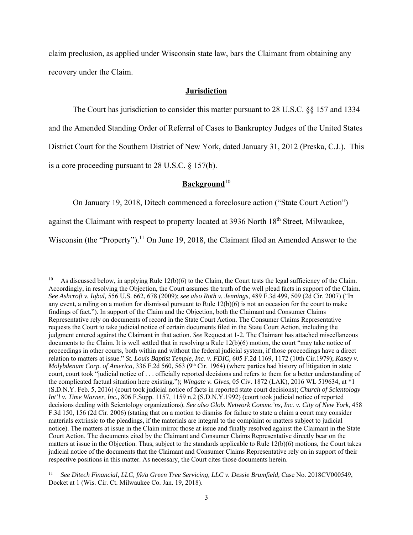claim preclusion, as applied under Wisconsin state law, bars the Claimant from obtaining any recovery under the Claim.

#### **Jurisdiction**

The Court has jurisdiction to consider this matter pursuant to 28 U.S.C. §§ 157 and 1334

and the Amended Standing Order of Referral of Cases to Bankruptcy Judges of the United States

District Court for the Southern District of New York, dated January 31, 2012 (Preska, C.J.). This

is a core proceeding pursuant to 28 U.S.C. § 157(b).

## Background<sup>10</sup>

On January 19, 2018, Ditech commenced a foreclosure action ("State Court Action")

against the Claimant with respect to property located at 3936 North 18<sup>th</sup> Street, Milwaukee,

Wisconsin (the "Property").<sup>11</sup> On June 19, 2018, the Claimant filed an Amended Answer to the

As discussed below, in applying Rule  $12(b)(6)$  to the Claim, the Court tests the legal sufficiency of the Claim. Accordingly, in resolving the Objection, the Court assumes the truth of the well plead facts in support of the Claim. *See Ashcroft v. Iqbal,* 556 U.S. 662, 678 (2009); *see also Roth v. Jennings*, 489 F.3d 499, 509 (2d Cir. 2007) ("In any event, a ruling on a motion for dismissal pursuant to Rule 12(b)(6) is not an occasion for the court to make findings of fact."). In support of the Claim and the Objection, both the Claimant and Consumer Claims Representative rely on documents of record in the State Court Action. The Consumer Claims Representative requests the Court to take judicial notice of certain documents filed in the State Court Action, including the judgment entered against the Claimant in that action. *See* Request at 1-2. The Claimant has attached miscellaneous documents to the Claim. It is well settled that in resolving a Rule 12(b)(6) motion, the court "may take notice of proceedings in other courts, both within and without the federal judicial system, if those proceedings have a direct relation to matters at issue." *St. Louis Baptist Temple, Inc. v. FDIC,* 605 F.2d 1169, 1172 (10th Cir.1979); *Kasey v. Molybdenum Corp. of America*, 336 F.2d 560, 563 (9<sup>th</sup> Cir. 1964) (where parties had history of litigation in state court, court took "judicial notice of . . . officially reported decisions and refers to them for a better understanding of the complicated factual situation here existing."); *Wingate v. Gives*, 05 Civ. 1872 (LAK), 2016 WL 519634, at \*1 (S.D.N.Y. Feb. 5, 2016) (court took judicial notice of facts in reported state court decisions); *Church of Scientology Int'l v. Time Warner, Inc.,* 806 F.Supp. 1157, 1159 n.2 (S.D.N.Y.1992) (court took judicial notice of reported decisions dealing with Scientology organizations). *See also Glob. Network Commc'ns, Inc. v. City of New York*, 458 F.3d 150, 156 (2d Cir. 2006) (stating that on a motion to dismiss for failure to state a claim a court may consider materials extrinsic to the pleadings, if the materials are integral to the complaint or matters subject to judicial notice). The matters at issue in the Claim mirror those at issue and finally resolved against the Claimant in the State Court Action. The documents cited by the Claimant and Consumer Claims Representative directly bear on the matters at issue in the Objection. Thus, subject to the standards applicable to Rule 12(b)(6) motions, the Court takes judicial notice of the documents that the Claimant and Consumer Claims Representative rely on in support of their respective positions in this matter. As necessary, the Court cites those documents herein.

<sup>11</sup> *See Ditech Financial, LLC, f/k/a Green Tree Servicing, LLC v. Dessie Brumfield,* Case No. 2018CV000549, Docket at 1 (Wis. Cir. Ct. Milwaukee Co. Jan. 19, 2018).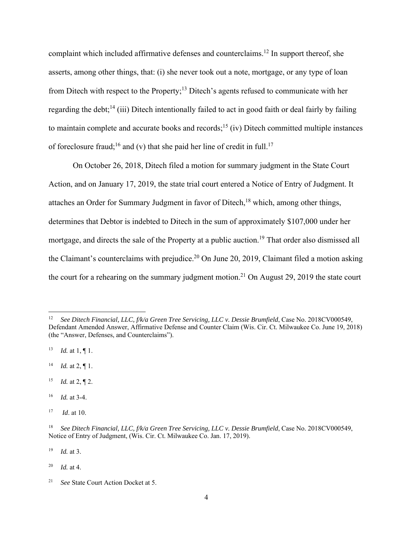complaint which included affirmative defenses and counterclaims. 12 In support thereof, she asserts, among other things, that: (i) she never took out a note, mortgage, or any type of loan from Ditech with respect to the Property;<sup>13</sup> Ditech's agents refused to communicate with her regarding the debt;<sup>14</sup> (iii) Ditech intentionally failed to act in good faith or deal fairly by failing to maintain complete and accurate books and records;<sup>15</sup> (iv) Ditech committed multiple instances of foreclosure fraud;<sup>16</sup> and (v) that she paid her line of credit in full.<sup>17</sup>

 On October 26, 2018, Ditech filed a motion for summary judgment in the State Court Action, and on January 17, 2019, the state trial court entered a Notice of Entry of Judgment. It attaches an Order for Summary Judgment in favor of Ditech,  $18$  which, among other things, determines that Debtor is indebted to Ditech in the sum of approximately \$107,000 under her mortgage, and directs the sale of the Property at a public auction.<sup>19</sup> That order also dismissed all the Claimant's counterclaims with prejudice.<sup>20</sup> On June 20, 2019, Claimant filed a motion asking the court for a rehearing on the summary judgment motion.<sup>21</sup> On August 29, 2019 the state court

- <sup>15</sup> *Id.* at 2, ¶ 2.
- 16 *Id.* at 3-4.
- 17 *Id*. at 10.

<sup>12</sup> *See Ditech Financial, LLC, f/k/a Green Tree Servicing, LLC v. Dessie Brumfield*, Case No. 2018CV000549, Defendant Amended Answer, Affirmative Defense and Counter Claim (Wis. Cir. Ct. Milwaukee Co. June 19, 2018) (the "Answer, Defenses, and Counterclaims").

<sup>13</sup> *Id.* at 1, ¶ 1.

<sup>14</sup> *Id.* at 2, ¶ 1.

<sup>&</sup>lt;sup>18</sup> See Ditech Financial, LLC, f/k/a Green Tree Servicing, LLC v. Dessie Brumfield, Case No. 2018CV000549, Notice of Entry of Judgment, (Wis. Cir. Ct. Milwaukee Co. Jan. 17, 2019).

<sup>19</sup> *Id.* at 3.

<sup>20</sup> *Id.* at 4.

<sup>21</sup> *See* State Court Action Docket at 5.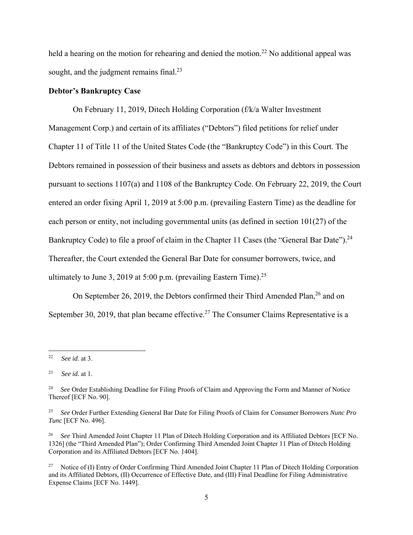held a hearing on the motion for rehearing and denied the motion.<sup>22</sup> No additional appeal was sought, and the judgment remains final.<sup>23</sup>

#### **Debtor's Bankruptcy Case**

 On February 11, 2019, Ditech Holding Corporation (f/k/a Walter Investment Management Corp.) and certain of its affiliates ("Debtors") filed petitions for relief under Chapter 11 of Title 11 of the United States Code (the "Bankruptcy Code") in this Court. The Debtors remained in possession of their business and assets as debtors and debtors in possession pursuant to sections 1107(a) and 1108 of the Bankruptcy Code. On February 22, 2019, the Court entered an order fixing April 1, 2019 at 5:00 p.m. (prevailing Eastern Time) as the deadline for each person or entity, not including governmental units (as defined in section 101(27) of the Bankruptcy Code) to file a proof of claim in the Chapter 11 Cases (the "General Bar Date").<sup>24</sup> Thereafter, the Court extended the General Bar Date for consumer borrowers, twice, and ultimately to June 3, 2019 at 5:00 p.m. (prevailing Eastern Time).<sup>25</sup>

On September 26, 2019, the Debtors confirmed their Third Amended Plan, <sup>26</sup> and on September 30, 2019, that plan became effective.<sup>27</sup> The Consumer Claims Representative is a

<sup>22</sup> *See id*. at 3.

<sup>23</sup> *See id.* at 1.

<sup>&</sup>lt;sup>24</sup> *See* Order Establishing Deadline for Filing Proofs of Claim and Approving the Form and Manner of Notice Thereof [ECF No. 90].

<sup>25</sup> *See* Order Further Extending General Bar Date for Filing Proofs of Claim for Consumer Borrowers *Nunc Pro Tunc* [ECF No. 496].

<sup>26</sup> *See* Third Amended Joint Chapter 11 Plan of Ditech Holding Corporation and its Affiliated Debtors [ECF No. 1326] (the "Third Amended Plan"); Order Confirming Third Amended Joint Chapter 11 Plan of Ditech Holding Corporation and its Affiliated Debtors [ECF No. 1404].

<sup>&</sup>lt;sup>27</sup> Notice of (I) Entry of Order Confirming Third Amended Joint Chapter 11 Plan of Ditech Holding Corporation and its Affiliated Debtors, (II) Occurrence of Effective Date, and (III) Final Deadline for Filing Administrative Expense Claims [ECF No. 1449].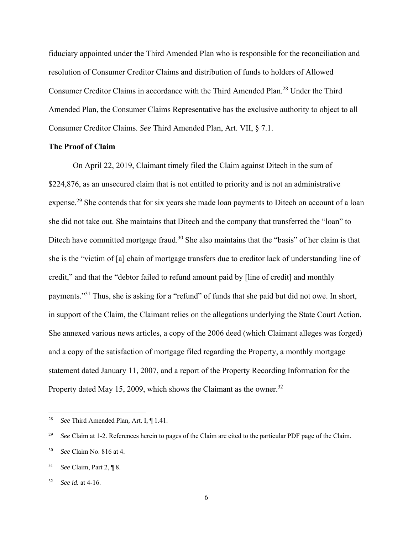fiduciary appointed under the Third Amended Plan who is responsible for the reconciliation and resolution of Consumer Creditor Claims and distribution of funds to holders of Allowed Consumer Creditor Claims in accordance with the Third Amended Plan.<sup>28</sup> Under the Third Amended Plan, the Consumer Claims Representative has the exclusive authority to object to all Consumer Creditor Claims. *See* Third Amended Plan, Art. VII, § 7.1.

#### **The Proof of Claim**

 On April 22, 2019, Claimant timely filed the Claim against Ditech in the sum of \$224,876, as an unsecured claim that is not entitled to priority and is not an administrative expense.<sup>29</sup> She contends that for six years she made loan payments to Ditech on account of a loan she did not take out. She maintains that Ditech and the company that transferred the "loan" to Ditech have committed mortgage fraud.<sup>30</sup> She also maintains that the "basis" of her claim is that she is the "victim of [a] chain of mortgage transfers due to creditor lack of understanding line of credit," and that the "debtor failed to refund amount paid by [line of credit] and monthly payments."31 Thus, she is asking for a "refund" of funds that she paid but did not owe. In short, in support of the Claim, the Claimant relies on the allegations underlying the State Court Action. She annexed various news articles, a copy of the 2006 deed (which Claimant alleges was forged) and a copy of the satisfaction of mortgage filed regarding the Property, a monthly mortgage statement dated January 11, 2007, and a report of the Property Recording Information for the Property dated May 15, 2009, which shows the Claimant as the owner.<sup>32</sup>

<sup>28</sup> *See* Third Amended Plan*,* Art. I, ¶ 1.41.

<sup>29</sup> *See* Claim at 1-2. References herein to pages of the Claim are cited to the particular PDF page of the Claim.

<sup>30</sup> *See* Claim No. 816 at 4.

<sup>31</sup> *See* Claim, Part 2, ¶ 8.

<sup>32</sup> *See id.* at 4-16.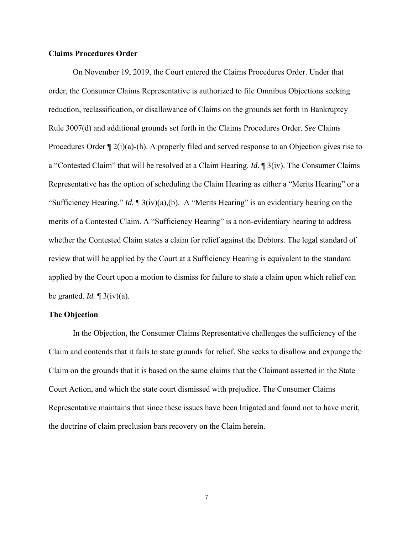#### **Claims Procedures Order**

 On November 19, 2019, the Court entered the Claims Procedures Order. Under that order, the Consumer Claims Representative is authorized to file Omnibus Objections seeking reduction, reclassification, or disallowance of Claims on the grounds set forth in Bankruptcy Rule 3007(d) and additional grounds set forth in the Claims Procedures Order. *See* Claims Procedures Order  $\P$  2(i)(a)-(h). A properly filed and served response to an Objection gives rise to a "Contested Claim" that will be resolved at a Claim Hearing. *Id.* ¶ 3(iv). The Consumer Claims Representative has the option of scheduling the Claim Hearing as either a "Merits Hearing" or a "Sufficiency Hearing." *Id.* ¶ 3(iv)(a),(b). A "Merits Hearing" is an evidentiary hearing on the merits of a Contested Claim. A "Sufficiency Hearing" is a non-evidentiary hearing to address whether the Contested Claim states a claim for relief against the Debtors. The legal standard of review that will be applied by the Court at a Sufficiency Hearing is equivalent to the standard applied by the Court upon a motion to dismiss for failure to state a claim upon which relief can be granted. *Id.* ¶ 3(iv)(a).

#### **The Objection**

 In the Objection, the Consumer Claims Representative challenges the sufficiency of the Claim and contends that it fails to state grounds for relief. She seeks to disallow and expunge the Claim on the grounds that it is based on the same claims that the Claimant asserted in the State Court Action, and which the state court dismissed with prejudice. The Consumer Claims Representative maintains that since these issues have been litigated and found not to have merit, the doctrine of claim preclusion bars recovery on the Claim herein.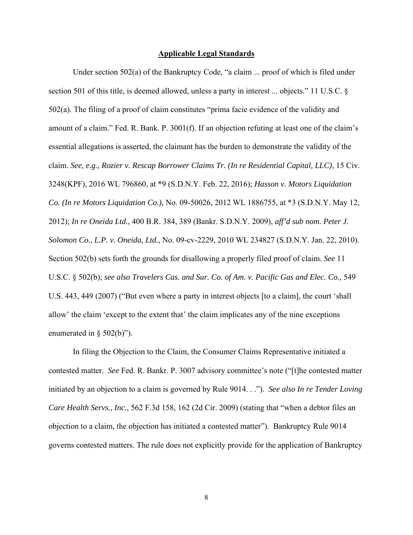#### **Applicable Legal Standards**

 Under section 502(a) of the Bankruptcy Code, "a claim ... proof of which is filed under section 501 of this title, is deemed allowed, unless a party in interest ... objects." 11 U.S.C. § 502(a). The filing of a proof of claim constitutes "prima facie evidence of the validity and amount of a claim." Fed. R. Bank. P. 3001(f). If an objection refuting at least one of the claim's essential allegations is asserted, the claimant has the burden to demonstrate the validity of the claim. *See, e.g., Rozier v. Rescap Borrower Claims Tr. (In re Residential Capital, LLC)*, 15 Civ. 3248(KPF), 2016 WL 796860, at \*9 (S.D.N.Y. Feb. 22, 2016); *Hasson v. Motors Liquidation Co. (In re Motors Liquidation Co.)*, No. 09-50026, 2012 WL 1886755, at \*3 (S.D.N.Y. May 12, 2012); *In re Oneida Ltd.*, 400 B.R. 384, 389 (Bankr. S.D.N.Y. 2009), *aff'd sub nom. Peter J. Solomon Co., L.P. v. Oneida, Ltd.*, No. 09-cv-2229, 2010 WL 234827 (S.D.N.Y. Jan. 22, 2010). Section 502(b) sets forth the grounds for disallowing a properly filed proof of claim. *See* 11 U.S.C. § 502(b); *see also Travelers Cas. and Sur. Co. of Am. v. Pacific Gas and Elec. Co.,* 549 U.S. 443, 449 (2007) ("But even where a party in interest objects [to a claim], the court 'shall allow' the claim 'except to the extent that' the claim implicates any of the nine exceptions enumerated in § 502(b)").

 In filing the Objection to the Claim, the Consumer Claims Representative initiated a contested matter. *See* Fed. R. Bankr. P. 3007 advisory committee's note ("[t]he contested matter initiated by an objection to a claim is governed by Rule 9014. . ."). *See also In re Tender Loving Care Health Servs., Inc.*, 562 F.3d 158, 162 (2d Cir. 2009) (stating that "when a debtor files an objection to a claim, the objection has initiated a contested matter"). Bankruptcy Rule 9014 governs contested matters. The rule does not explicitly provide for the application of Bankruptcy

8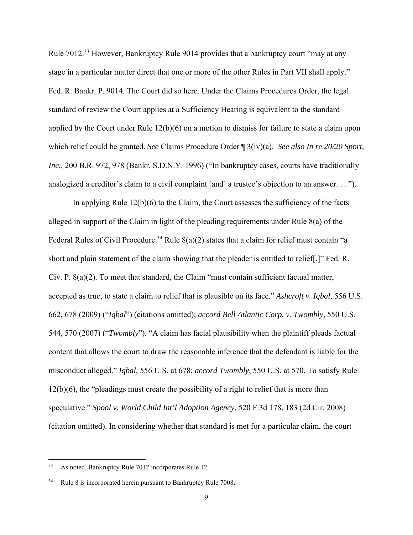Rule 7012.33 However, Bankruptcy Rule 9014 provides that a bankruptcy court "may at any stage in a particular matter direct that one or more of the other Rules in Part VII shall apply." Fed. R. Bankr. P. 9014. The Court did so here. Under the Claims Procedures Order, the legal standard of review the Court applies at a Sufficiency Hearing is equivalent to the standard applied by the Court under Rule 12(b)(6) on a motion to dismiss for failure to state a claim upon which relief could be granted. *See* Claims Procedure Order ¶ 3(iv)(a). *See also In re 20/20 Sport, Inc.*, 200 B.R. 972, 978 (Bankr. S.D.N.Y. 1996) ("In bankruptcy cases, courts have traditionally analogized a creditor's claim to a civil complaint [and] a trustee's objection to an answer. . . ").

 In applying Rule 12(b)(6) to the Claim, the Court assesses the sufficiency of the facts alleged in support of the Claim in light of the pleading requirements under Rule 8(a) of the Federal Rules of Civil Procedure.<sup>34</sup> Rule  $8(a)(2)$  states that a claim for relief must contain "a short and plain statement of the claim showing that the pleader is entitled to relief[.]" Fed. R. Civ. P. 8(a)(2). To meet that standard, the Claim "must contain sufficient factual matter, accepted as true, to state a claim to relief that is plausible on its face." *Ashcroft v. Iqbal,* 556 U.S. 662, 678 (2009) ("*Iqbal*") (citations omitted); *accord Bell Atlantic Corp. v. Twombly,* 550 U.S. 544, 570 (2007) ("*Twombly*"). "A claim has facial plausibility when the plaintiff pleads factual content that allows the court to draw the reasonable inference that the defendant is liable for the misconduct alleged." *Iqbal*, 556 U.S. at 678; *accord Twombly*, 550 U.S. at 570. To satisfy Rule 12(b)(6), the "pleadings must create the possibility of a right to relief that is more than speculative." *Spool v. World Child Int'l Adoption Agency*, 520 F.3d 178, 183 (2d Cir. 2008) (citation omitted). In considering whether that standard is met for a particular claim, the court

<sup>33</sup> As noted, Bankruptcy Rule 7012 incorporates Rule 12.

Rule 8 is incorporated herein pursuant to Bankruptcy Rule 7008.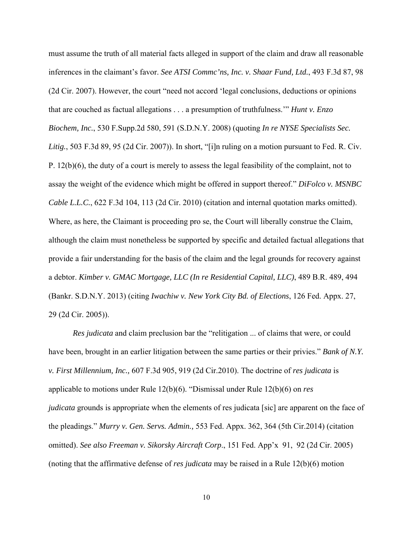must assume the truth of all material facts alleged in support of the claim and draw all reasonable inferences in the claimant's favor. *See ATSI Commc'ns, Inc. v. Shaar Fund, Ltd.*, 493 F.3d 87, 98 (2d Cir. 2007). However, the court "need not accord 'legal conclusions, deductions or opinions that are couched as factual allegations . . . a presumption of truthfulness.'" *Hunt v. Enzo Biochem, Inc.*, 530 F.Supp.2d 580, 591 (S.D.N.Y. 2008) (quoting *In re NYSE Specialists Sec. Litig.*, 503 F.3d 89, 95 (2d Cir. 2007)). In short, "[i]n ruling on a motion pursuant to Fed. R. Civ. P. 12(b)(6), the duty of a court is merely to assess the legal feasibility of the complaint, not to assay the weight of the evidence which might be offered in support thereof." *DiFolco v. MSNBC Cable L.L.C.*, 622 F.3d 104, 113 (2d Cir. 2010) (citation and internal quotation marks omitted). Where, as here, the Claimant is proceeding pro se, the Court will liberally construe the Claim, although the claim must nonetheless be supported by specific and detailed factual allegations that provide a fair understanding for the basis of the claim and the legal grounds for recovery against a debtor. *Kimber v. GMAC Mortgage, LLC (In re Residential Capital, LLC)*, 489 B.R. 489, 494 (Bankr. S.D.N.Y. 2013) (citing *Iwachiw v. New York City Bd. of Elections*, 126 Fed. Appx. 27, 29 (2d Cir. 2005)).

*Res judicata* and claim preclusion bar the "relitigation ... of claims that were, or could have been, brought in an earlier litigation between the same parties or their privies." *Bank of N.Y. v. First Millennium, Inc.,* 607 F.3d 905, 919 (2d Cir.2010). The doctrine of *res judicata* is applicable to motions under Rule 12(b)(6). "Dismissal under Rule 12(b)(6) on *res judicata* grounds is appropriate when the elements of res judicata [sic] are apparent on the face of the pleadings." *Murry v. Gen. Servs. Admin.,* 553 Fed. Appx. 362, 364 (5th Cir.2014) (citation omitted). *See also Freeman v. Sikorsky Aircraft Corp*., 151 Fed. App'x 91, 92 (2d Cir. 2005) (noting that the affirmative defense of *res judicata* may be raised in a Rule 12(b)(6) motion

10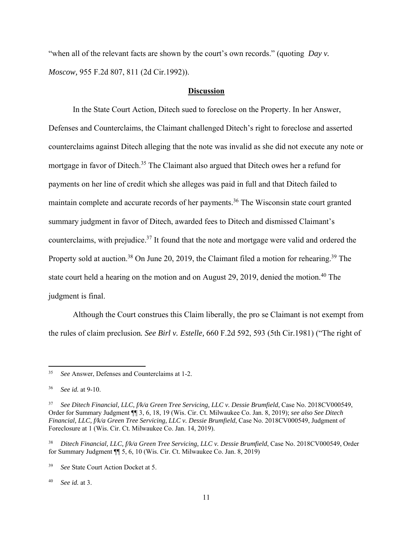"when all of the relevant facts are shown by the court's own records." (quoting *Day v. Moscow,* 955 F.2d 807, 811 (2d Cir.1992)).

## **Discussion**

 In the State Court Action, Ditech sued to foreclose on the Property. In her Answer, Defenses and Counterclaims, the Claimant challenged Ditech's right to foreclose and asserted counterclaims against Ditech alleging that the note was invalid as she did not execute any note or mortgage in favor of Ditech.<sup>35</sup> The Claimant also argued that Ditech owes her a refund for payments on her line of credit which she alleges was paid in full and that Ditech failed to maintain complete and accurate records of her payments.<sup>36</sup> The Wisconsin state court granted summary judgment in favor of Ditech, awarded fees to Ditech and dismissed Claimant's counterclaims, with prejudice.<sup>37</sup> It found that the note and mortgage were valid and ordered the Property sold at auction.<sup>38</sup> On June 20, 2019, the Claimant filed a motion for rehearing.<sup>39</sup> The state court held a hearing on the motion and on August 29, 2019, denied the motion.<sup>40</sup> The judgment is final.

 Although the Court construes this Claim liberally, the pro se Claimant is not exempt from the rules of claim preclusion*. See Birl v. Estelle,* 660 F.2d 592, 593 (5th Cir.1981) ("The right of

40 *See id.* at 3.

<sup>35</sup> *See* Answer, Defenses and Counterclaims at 1-2.

<sup>36</sup> *See id.* at 9-10.

<sup>&</sup>lt;sup>37</sup> See Ditech Financial, LLC, f/k/a Green Tree Servicing, LLC v. Dessie Brumfield, Case No. 2018CV000549, Order for Summary Judgment ¶¶ 3, 6, 18, 19 (Wis. Cir. Ct. Milwaukee Co. Jan. 8, 2019); *see also See Ditech Financial, LLC, f/k/a Green Tree Servicing, LLC v. Dessie Brumfield*, Case No. 2018CV000549, Judgment of Foreclosure at 1 (Wis. Cir. Ct. Milwaukee Co. Jan. 14, 2019).

<sup>38</sup> *Ditech Financial, LLC, f/k/a Green Tree Servicing, LLC v. Dessie Brumfield*, Case No. 2018CV000549, Order for Summary Judgment ¶¶ 5, 6, 10 (Wis. Cir. Ct. Milwaukee Co. Jan. 8, 2019)

<sup>39</sup> *See* State Court Action Docket at 5.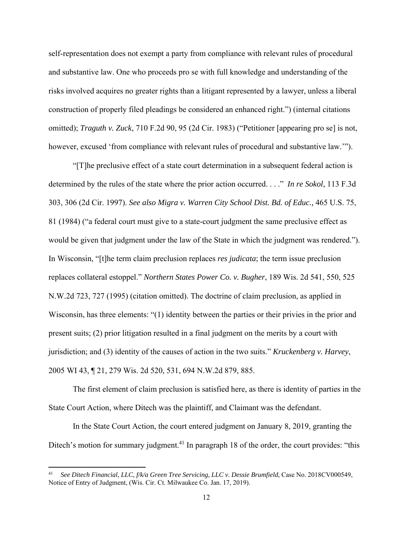self-representation does not exempt a party from compliance with relevant rules of procedural and substantive law. One who proceeds pro se with full knowledge and understanding of the risks involved acquires no greater rights than a litigant represented by a lawyer, unless a liberal construction of properly filed pleadings be considered an enhanced right.") (internal citations omitted); *Traguth v. Zuck*, 710 F.2d 90, 95 (2d Cir. 1983) ("Petitioner [appearing pro se] is not, however, excused 'from compliance with relevant rules of procedural and substantive law.'").

 "[T]he preclusive effect of a state court determination in a subsequent federal action is determined by the rules of the state where the prior action occurred. . . ." *In re Sokol*, 113 F.3d 303, 306 (2d Cir. 1997). *See also Migra v. Warren City School Dist. Bd. of Educ.,* 465 U.S. 75, 81 (1984) ("a federal court must give to a state-court judgment the same preclusive effect as would be given that judgment under the law of the State in which the judgment was rendered."). In Wisconsin, "[t]he term claim preclusion replaces *res judicata*; the term issue preclusion replaces collateral estoppel." *Northern States Power Co. v. Bugher*, 189 Wis. 2d 541, 550, 525 N.W.2d 723, 727 (1995) (citation omitted). The doctrine of claim preclusion, as applied in Wisconsin, has three elements: "(1) identity between the parties or their privies in the prior and present suits; (2) prior litigation resulted in a final judgment on the merits by a court with jurisdiction; and (3) identity of the causes of action in the two suits." *Kruckenberg v. Harvey*, 2005 WI 43, ¶ 21, 279 Wis. 2d 520, 531, 694 N.W.2d 879, 885.

 The first element of claim preclusion is satisfied here, as there is identity of parties in the State Court Action, where Ditech was the plaintiff, and Claimant was the defendant.

 In the State Court Action, the court entered judgment on January 8, 2019, granting the Ditech's motion for summary judgment.<sup>41</sup> In paragraph 18 of the order, the court provides: "this

<sup>41</sup> *See Ditech Financial, LLC, f/k/a Green Tree Servicing, LLC v. Dessie Brumfield*, Case No. 2018CV000549, Notice of Entry of Judgment, (Wis. Cir. Ct. Milwaukee Co. Jan. 17, 2019).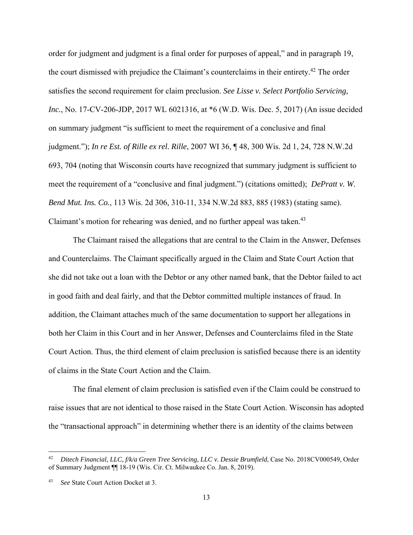order for judgment and judgment is a final order for purposes of appeal," and in paragraph 19, the court dismissed with prejudice the Claimant's counterclaims in their entirety.42 The order satisfies the second requirement for claim preclusion. *See Lisse v. Select Portfolio Servicing, Inc.*, No. 17-CV-206-JDP, 2017 WL 6021316, at \*6 (W.D. Wis. Dec. 5, 2017) (An issue decided on summary judgment "is sufficient to meet the requirement of a conclusive and final judgment."); *In re Est. of Rille ex rel. Rille*, 2007 WI 36, ¶ 48, 300 Wis. 2d 1, 24, 728 N.W.2d 693, 704 (noting that Wisconsin courts have recognized that summary judgment is sufficient to meet the requirement of a "conclusive and final judgment.") (citations omitted); *DePratt v. W. Bend Mut. Ins. Co.*, 113 Wis. 2d 306, 310-11, 334 N.W.2d 883, 885 (1983) (stating same). Claimant's motion for rehearing was denied, and no further appeal was taken.<sup>43</sup>

 The Claimant raised the allegations that are central to the Claim in the Answer, Defenses and Counterclaims. The Claimant specifically argued in the Claim and State Court Action that she did not take out a loan with the Debtor or any other named bank, that the Debtor failed to act in good faith and deal fairly, and that the Debtor committed multiple instances of fraud. In addition, the Claimant attaches much of the same documentation to support her allegations in both her Claim in this Court and in her Answer, Defenses and Counterclaims filed in the State Court Action. Thus, the third element of claim preclusion is satisfied because there is an identity of claims in the State Court Action and the Claim.

 The final element of claim preclusion is satisfied even if the Claim could be construed to raise issues that are not identical to those raised in the State Court Action. Wisconsin has adopted the "transactional approach" in determining whether there is an identity of the claims between

<sup>42</sup> *Ditech Financial, LLC, f/k/a Green Tree Servicing, LLC v. Dessie Brumfield*, Case No. 2018CV000549, Order of Summary Judgment ¶¶ 18-19 (Wis. Cir. Ct. Milwaukee Co. Jan. 8, 2019).

See State Court Action Docket at 3.